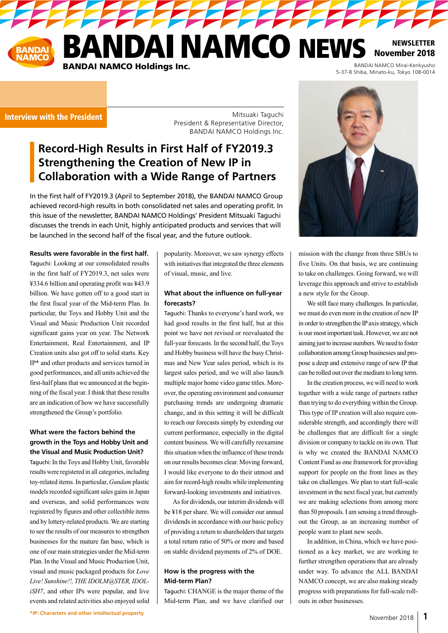# NDAI NAMCO NEWS **BANDAI NAMCO Holdings Inc.**

**PERSONAL PROPERTY** 

November 2018 BANDAI NAMCO Mirai-Kenkyusho<br>5-37-8 Shiba, Minato-ku, Tokyo 108-0014

**NEWSLETTER** 

### Interview with the President

Mitsuaki Taguchi President & Representative Director, BANDAI NAMCO Holdings Inc.

# **Record-High Results in First Half of FY2019.3 Strengthening the Creation of New IP in Collaboration with a Wide Range of Partners**

In the first half of FY2019.3 (April to September 2018), the BANDAI NAMCO Group achieved record-high results in both consolidated net sales and operating profit. In this issue of the newsletter, BANDAI NAMCO Holdings' President Mitsuaki Taguchi discusses the trends in each Unit, highly anticipated products and services that will be launched in the second half of the fiscal year, and the future outlook.

#### **Results were favorable in the first half.**

Taguchi: Looking at our consolidated results in the first half of FY2019.3, net sales were ¥334.6 billion and operating profit was ¥43.9 billion. We have gotten off to a good start in the first fiscal year of the Mid-term Plan. In particular, the Toys and Hobby Unit and the Visual and Music Production Unit recorded significant gains year on year. The Network Entertainment, Real Entertainment, and IP Creation units also got off to solid starts. Key IP\* and other products and services turned in good performances, and all units achieved the first-half plans that we announced at the beginning of the fiscal year. I think that these results are an indication of how we have successfully strengthened the Group's portfolio.

### **What were the factors behind the growth in the Toys and Hobby Unit and the Visual and Music Production Unit?**

Taguchi: In the Toys and Hobby Unit, favorable results were registered in all categories, including toy-related items. In particular, *Gundam* plastic models recorded significant sales gains in Japan and overseas, and solid performances were registered by figures and other collectible items and by lottery-related products. We are starting to see the results of our measures to strengthen businesses for the mature fan base, which is one of our main strategies under the Mid-term Plan. In the Visual and Music Production Unit, visual and music packaged products for *Love Live! Sunshine!!, THE IDOLM@STER, IDOLiSH7*, and other IPs were popular, and live events and related activities also enjoyed solid popularity. Moreover, we saw synergy effects with initiatives that integrated the three elements of visual, music, and live.

### **What about the influence on full-year forecasts?**

Taguchi: Thanks to everyone's hard work, we had good results in the first half, but at this point we have not revised or reevaluated the full-year forecasts. In the second half, the Toys and Hobby business will have the busy Christmas and New Year sales period, which is its largest sales period, and we will also launch multiple major home video game titles. Moreover, the operating environment and consumer purchasing trends are undergoing dramatic change, and in this setting it will be difficult to reach our forecasts simply by extending our current performance, especially in the digital content business. We will carefully reexamine this situation when the influence of these trends on our results becomes clear. Moving forward, I would like everyone to do their utmost and aim for record-high results while implementing forward-looking investments and initiatives.

As for dividends, our interim dividends will be ¥18 per share. We will consider our annual dividends in accordance with our basic policy of providing a return to shareholders that targets a total return ratio of 50% or more and based on stable dividend payments of 2% of DOE.

#### **How is the progress with the Mid-term Plan?**

Taguchi: CHANGE is the major theme of the Mid-term Plan, and we have clarified our



mission with the change from three SBUs to five Units. On that basis, we are continuing to take on challenges. Going forward, we will leverage this approach and strive to establish a new style for the Group.

We still face many challenges. In particular, we must do even more in the creation of new IP in order to strengthen the IP axis strategy, which is our most important task. However, we are not aiming just to increase numbers. We need to foster collaboration among Group businesses and propose a deep and extensive range of new IP that can be rolled out over the medium to long term.

In the creation process, we will need to work together with a wide range of partners rather than trying to do everything within the Group. This type of IP creation will also require considerable strength, and accordingly there will be challenges that are difficult for a single division or company to tackle on its own. That is why we created the BANDAI NAMCO Content Fund as one framework for providing support for people on the front lines as they take on challenges. We plan to start full-scale investment in the next fiscal year, but currently we are making selections from among more than 50 proposals. I am sensing a trend throughout the Group, as an increasing number of people want to plant new seeds.

In addition, in China, which we have positioned as a key market, we are working to further strengthen operations that are already under way. To advance the ALL BANDAI NAMCO concept, we are also making steady progress with preparations for full-scale rollouts in other businesses.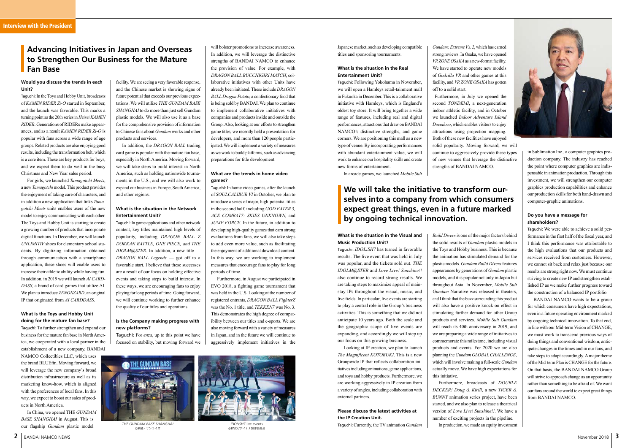

### **Would you discuss the trends in each Unit?**

Taguchi: In the Toys and Hobby Unit, broadcasts of *KAMEN RIDER Zi-O* started in September, and the launch was favorable. This marks a turning point as the 20th series in *Heisei KAMEN RIDER*. Generations of RIDERs make appearances, and as a result *KAMEN RIDER Zi-O* is popular with fans across a wide range of age groups. Related products are also enjoying good results, including the transformation belt, which is a core item. These are key products for boys, and we expect them to do well in the busy Christmas and New Year sales period.

For girls, we launched *Tamagotchi Meets*, a new *Tamagotchi* model. This product provides the enjoyment of taking care of characters, and in addition a new application that links *Tamagotchi Meets* units enables users of the new model to enjoy communicating with each other. The Toys and Hobby Unit is starting to create a growing number of products that incorporate digital functions. In December, we will launch *UNLIMITIV* shoes for elementary school students. By digitizing information obtained through communication with a smartphone application, these shoes will enable users to increase their athletic ability while having fun. In addition, in 2019 we will launch *AI CARD-DASS*, a brand of card games that utilize AI. We plan to introduce *ZENONZARD*, an original IP that originated from *AI CARDDASS*.

### **What is the Toys and Hobby Unit doing for the mature fan base?**

Taguchi: To further strengthen and expand our business for the mature fan base in North America, we cooperated with a local partner in the establishment of a new company, BANDAI NAMCO Collectibles LLC, which uses the brand BLUEfin. Moving forward, we will leverage the new company's broad distribution infrastructure as well as its marketing know-how, which is aligned with the preferences of local fans. In this way, we expect to boost our sales of products in North America.

In China, we opened THE *GUNDAM BASE SHANGHAI* in August. This is our flagship *Gundam* plastic model

### **What is the situation in the Visual and Music Production Unit?**

Taguchi: *IDOLiSH7* has turned in favorable results. The live event that was held in July was popular, and the tickets sold out. *THE IDOLM@STER* and *Love Live! Sunshine!!*  also continue to record strong results. We are taking steps to maximize appeal of mainstay IPs throughout the visual, music, and live fields. In particular, live events are starting to play a central role in the Group's business activities. This is something that we did not anticipate 10 years ago. Both the scale and the geographic scope of live events are expanding, and accordingly we will step up our focus on this growing business.

Looking at IP creation, we plan to launch *The Magnificent KOTOBUKI*. This is a new Groupwide IP that reflects collaboration initiatives including animations, game applications, and toys and hobby products. Furthermore, we are working aggressively in IP creation from a variety of angles, including collaboration with external partners.

### **Please discuss the latest activities at the IP Creation Unit.**

Taguchi: Currently, the TV animation *Gundam* 

facility. We are seeing a very favorable response, and the Chinese market is showing signs of future potential that exceeds our previous expectations. We will utilize *THE GUNDAM BASE SHANGHAI* to do more than just sell Gundam plastic models. We will also use it as a base for the comprehensive provision of information to Chinese fans about *Gundam* works and other products and services.

In addition, the *DRAGON BALL* trading card game is popular with the mature fan base, especially in North America. Moving forward, we will take steps to build interest in North America, such as holding nationwide tournaments in the U.S., and we will also work to expand our business in Europe, South America, and other regions.

### **What is the situation in the Network Entertainment Unit?**

Taguchi: In game applications and other network content, key titles maintained high levels of popularity, including *DRAGON BALL Z DOKKAN BATTLE, ONE PIECE, and THE IDOLM@STER*. In addition, a new title — *DRAGON BALL Legends* — got off to a favorable start. I believe that these successes are a result of our focus on holding effective events and taking steps to build interest. In these ways, we are encouraging fans to enjoy playing for long periods of time. Going forward, we will continue working to further enhance the quality of our titles and operations.

### **Is the Company making progress with new platforms?**

Taguchi: For *enza*, up to this point we have focused on stability, but moving forward we *Build Divers* is one of the major factors behind the solid results of *Gundam* plastic models in the Toys and Hobby business. This is because the animation has stimulated demand for the plastic models. *Gundam Build Divers* features appearances by generations of *Gundam* plastic models, and it is popular not only in Japan but throughout Asia. In November, *Mobile Suit Gundam* Narrative was released in theaters, and I think that the buzz surrounding this product will also have a positive knock-on effect in stimulating further demand for other Group products and services. *Mobile Suit Gundam* will reach its 40th anniversary in 2019, and we are preparing a wide range of initiatives to commemorate this milestone, including visual products and events. For 2020 we are also planning the *Gundam GLOBAL CHALLENGE*, which will involve making a full-scale *Gundam* actually move. We have high expectations for this initiative.

Furthermore, broadcasts of *DOUBLE DECKER! Doug & Kirill*, a new *TIGER & BUNNY* animation series project, have been started, and we also plan to release a theatrical version of *Love Live! Sunshine!!*. We have a number of exciting projects in the pipeline. In production, we made an equity investment

Japanese market, such as developing compatible titles and sponsoring tournaments.

### **What is the situation in the Real Entertainment Unit?**

Taguchi: Following Yokohama in November, we will open a Hamleys retail-tainment mall in Fukuoka in December. This is a collaborative initiative with Hamleys, which is England's oldest toy store. It will bring together a wide range of features, including real and digital performances, attractions that draw on BANDAI NAMCO's distinctive strengths, and game corners. We are positioning this mall as a new type of venue. By incorporating performances with abundant entertainment value, we will work to enhance our hospitality skills and create new forms of entertainment.

In arcade games, we launched *Mobile Suit* 

*Gundam: Extreme Vs. 2*, which has earned strong reviews. In Osaka, we have opened *VR ZONE OSAKA* as a new-format facility. We have started to operate new models of *Godzilla VR* and other games at this facility, and *VR ZONE OSAKA* has gotten off to a solid start.

 Furthermore, in July we opened the second *TONDEMI*, a next-generation indoor athletic facility, and in October we launched *Indoor Adventure Island Docodoco*, which enables visitors to enjoy attractions using projection mapping. Both of these new facilities have enjoyed solid popularity. Moving forward, we will continue to aggressively provide these types of new venues that leverage the distinctive strengths of BANDAI NAMCO.



*THE GUNDAM BASE SHANGHAI* ©創通・サンライズ



©BNOI/アイナナ製作委員会

### **Advancing Initiatives in Japan and Overseas to Strengthen Our Business for the Mature Fan Base**

# **We will take the initiative to transform ourselves into a company from which consumers expect great things, even in a future marked by ongoing technical innovation.**

will bolster promotions to increase awareness. In addition, we will leverage the distinctive strengths of BANDAI NAMCO to enhance the provision of value. For example, with *DRAGON BALL BUCCHIGIRI MATCH*, collaborative initiatives with other Units have already been initiated. These include *DRAGON BALL Dragon Potato,* a confectionary food that is being sold by BANDAI. We plan to continue to implement collaborative initiatives with companies and products inside and outside the Group. Also, looking at our efforts to strengthen game titles, we recently held a presentation for developers, and more than 120 people participated. We will implement a variety of measures as we work to build platforms, such as advancing preparations for title development.

### **What are the trends in home video games?**

Taguchi: In home video games, after the launch of *SOULCALIBUR VI* in October, we plan to introduce a series of major, high-potential titles in the second half, including *GOD EATER 3, ACE COMBAT7: SKIES UNKNOWN,* and *JUMP FORCE*. In the future, in addition to developing high-quality games that earn strong evaluations from fans, we will also take steps to add even more value, such as facilitating the enjoyment of additional download content. In this way, we are working to implement measures that encourage fans to play for long periods of time.

Furthermore, in August we participated in EVO 2018, a fighting game tournament that was held in the U.S. Looking at the number of registered entrants, *DRAGON BALL FighterZ*  was the No. 1 title, and *TEKKEN7* was No. 3. This demonstrates the high degree of compatibility between our titles and e-sports. We are also moving forward with a variety of measures in Japan, and in the future we will continue to aggressively implement initiatives in the

in Sublimation Inc., a computer graphics production company. The industry has reached the point where computer graphics are indispensable in animation production. Through this investment, we will strengthen our computer graphics production capabilities and enhance our production skills for both hand-drawn and computer-graphic animations.

### **Do you have a message for shareholders?**

Taguchi: We were able to achieve a solid performance in the first half of the fiscal year, and I think this performance was attributable to the high evaluations that our products and services received from customers. However, we cannot sit back and relax just because our results are strong right now. We must continue striving to create new IP and strengthen established IP as we make further progress toward the construction of a balanced IP portfolio.

BANDAI NAMCO wants to be a group for which consumers have high expectations, even in a future operating environment marked by ongoing technical innovation. To that end, in line with our Mid-term Vision of CHANGE, we must work to transcend previous ways of doing things and conventional wisdom, anticipate changes in the times and in our fans, and take steps to adapt accordingly. A major theme of the Mid-term Plan is CHANGE for the future. On that basis, the BANDAI NAMCO Group will strive to approach change as an opportunity rather than something to be afraid of. We want our fans around the world to expect great things from BANDAI NAMCO.